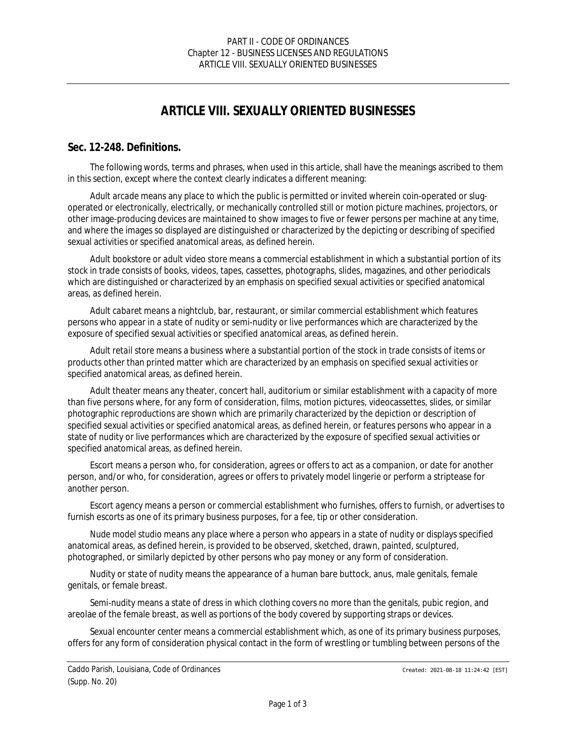# *ARTICLE VIII. SEXUALLY ORIENTED BUSINESSES*

#### **Sec. 12-248. Definitions.**

The following words, terms and phrases, when used in this article, shall have the meanings ascribed to them in this section, except where the context clearly indicates a different meaning:

*Adult arcade* means any place to which the public is permitted or invited wherein coin-operated or slugoperated or electronically, electrically, or mechanically controlled still or motion picture machines, projectors, or other image-producing devices are maintained to show images to five or fewer persons per machine at any time, and where the images so displayed are distinguished or characterized by the depicting or describing of specified sexual activities or specified anatomical areas, as defined herein.

*Adult bookstore* or *adult video store* means a commercial establishment in which a substantial portion of its stock in trade consists of books, videos, tapes, cassettes, photographs, slides, magazines, and other periodicals which are distinguished or characterized by an emphasis on specified sexual activities or specified anatomical areas, as defined herein.

*Adult cabaret* means a nightclub, bar, restaurant, or similar commercial establishment which features persons who appear in a state of nudity or semi-nudity or live performances which are characterized by the exposure of specified sexual activities or specified anatomical areas, as defined herein.

*Adult retail store* means a business where a substantial portion of the stock in trade consists of items or products other than printed matter which are characterized by an emphasis on specified sexual activities or specified anatomical areas, as defined herein.

*Adult theater* means any theater, concert hall, auditorium or similar establishment with a capacity of more than five persons where, for any form of consideration, films, motion pictures, videocassettes, slides, or similar photographic reproductions are shown which are primarily characterized by the depiction or description of specified sexual activities or specified anatomical areas, as defined herein, or features persons who appear in a state of nudity or live performances which are characterized by the exposure of specified sexual activities or specified anatomical areas, as defined herein.

*Escort* means a person who, for consideration, agrees or offers to act as a companion, or date for another person, and/or who, for consideration, agrees or offers to privately model lingerie or perform a striptease for another person.

*Escort agency* means a person or commercial establishment who furnishes, offers to furnish, or advertises to furnish escorts as one of its primary business purposes, for a fee, tip or other consideration.

*Nude model studio* means any place where a person who appears in a state of nudity or displays specified anatomical areas, as defined herein, is provided to be observed, sketched, drawn, painted, sculptured, photographed, or similarly depicted by other persons who pay money or any form of consideration.

*Nudity* or *state of nudity* means the appearance of a human bare buttock, anus, male genitals, female genitals, or female breast.

*Semi-nudity* means a state of dress in which clothing covers no more than the genitals, pubic region, and areolae of the female breast, as well as portions of the body covered by supporting straps or devices.

*Sexual encounter center* means a commercial establishment which, as one of its primary business purposes, offers for any form of consideration physical contact in the form of wrestling or tumbling between persons of the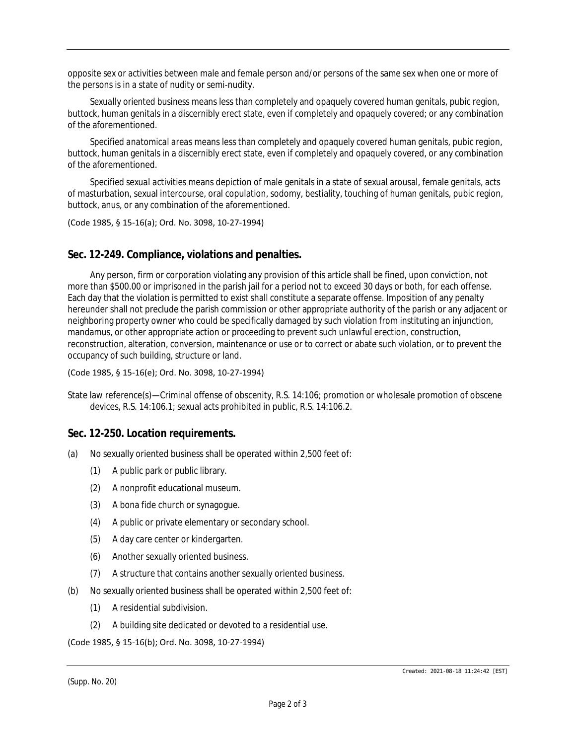opposite sex or activities between male and female person and/or persons of the same sex when one or more of the persons is in a state of nudity or semi-nudity.

*Sexually oriented business* means less than completely and opaquely covered human genitals, pubic region, buttock, human genitals in a discernibly erect state, even if completely and opaquely covered; or any combination of the aforementioned.

*Specified anatomical areas* means less than completely and opaquely covered human genitals, pubic region, buttock, human genitals in a discernibly erect state, even if completely and opaquely covered, or any combination of the aforementioned.

*Specified sexual activities* means depiction of male genitals in a state of sexual arousal, female genitals, acts of masturbation, sexual intercourse, oral copulation, sodomy, bestiality, touching of human genitals, pubic region, buttock, anus, or any combination of the aforementioned.

(Code 1985, § 15-16(a); Ord. No. 3098, 10-27-1994)

# **Sec. 12-249. Compliance, violations and penalties.**

Any person, firm or corporation violating any provision of this article shall be fined, upon conviction, not more than \$500.00 or imprisoned in the parish jail for a period not to exceed 30 days or both, for each offense. Each day that the violation is permitted to exist shall constitute a separate offense. Imposition of any penalty hereunder shall not preclude the parish commission or other appropriate authority of the parish or any adjacent or neighboring property owner who could be specifically damaged by such violation from instituting an injunction, mandamus, or other appropriate action or proceeding to prevent such unlawful erection, construction, reconstruction, alteration, conversion, maintenance or use or to correct or abate such violation, or to prevent the occupancy of such building, structure or land.

#### (Code 1985, § 15-16(e); Ord. No. 3098, 10-27-1994)

State law reference(s)—Criminal offense of obscenity, R.S. 14:106; promotion or wholesale promotion of obscene devices, R.S. 14:106.1; sexual acts prohibited in public, R.S. 14:106.2.

### **Sec. 12-250. Location requirements.**

- (a) No sexually oriented business shall be operated within 2,500 feet of:
	- (1) A public park or public library.
	- (2) A nonprofit educational museum.
	- (3) A bona fide church or synagogue.
	- (4) A public or private elementary or secondary school.
	- (5) A day care center or kindergarten.
	- (6) Another sexually oriented business.
	- (7) A structure that contains another sexually oriented business.
- (b) No sexually oriented business shall be operated within 2,500 feet of:
	- (1) A residential subdivision.
	- (2) A building site dedicated or devoted to a residential use.

(Code 1985, § 15-16(b); Ord. No. 3098, 10-27-1994)